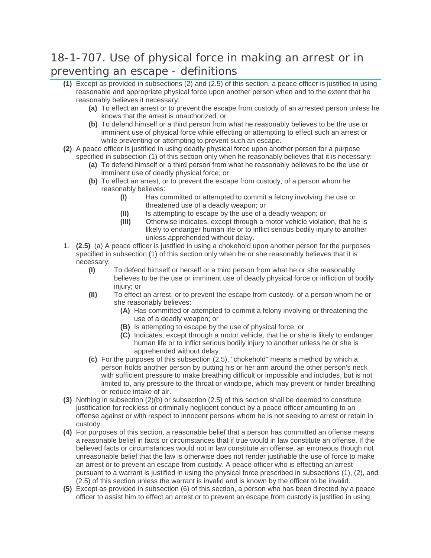## 18-1-707. Use of physical force in making an arrest or in preventing an escape - definitions

- **(1)** Except as provided in subsections (2) and (2.5) of this section, a peace officer is justified in using reasonable and appropriate physical force upon another person when and to the extent that he reasonably believes it necessary:
	- **(a)** To effect an arrest or to prevent the escape from custody of an arrested person unless he knows that the arrest is unauthorized; or
	- **(b)** To defend himself or a third person from what he reasonably believes to be the use or imminent use of physical force while effecting or attempting to effect such an arrest or while preventing or attempting to prevent such an escape.
- **(2)** A peace officer is justified in using deadly physical force upon another person for a purpose specified in subsection (1) of this section only when he reasonably believes that it is necessary:
	- **(a)** To defend himself or a third person from what he reasonably believes to be the use or imminent use of deadly physical force; or
	- **(b)** To effect an arrest, or to prevent the escape from custody, of a person whom he reasonably believes:
		- **(I)** Has committed or attempted to commit a felony involving the use or threatened use of a deadly weapon; or
		- **(II)** Is attempting to escape by the use of a deadly weapon; or
		- **(III)** Otherwise indicates, except through a motor vehicle violation, that he is likely to endanger human life or to inflict serious bodily injury to another unless apprehended without delay.
- 1. **(2.5)** (a) A peace officer is justified in using a chokehold upon another person for the purposes specified in subsection (1) of this section only when he or she reasonably believes that it is necessary:
	- **(I)** To defend himself or herself or a third person from what he or she reasonably believes to be the use or imminent use of deadly physical force or infliction of bodily injury; or
	- **(II)** To effect an arrest, or to prevent the escape from custody, of a person whom he or she reasonably believes:
		- **(A)** Has committed or attempted to commit a felony involving or threatening the use of a deadly weapon; or
		- **(B)** Is attempting to escape by the use of physical force; or
		- **(C)** Indicates, except through a motor vehicle, that he or she is likely to endanger human life or to inflict serious bodily injury to another unless he or she is apprehended without delay.
	- **(c)** For the purposes of this subsection (2.5), "chokehold" means a method by which a person holds another person by putting his or her arm around the other person's neck with sufficient pressure to make breathing difficult or impossible and includes, but is not limited to, any pressure to the throat or windpipe, which may prevent or hinder breathing or reduce intake of air.
- **(3)** Nothing in subsection (2)(b) or subsection (2.5) of this section shall be deemed to constitute justification for reckless or criminally negligent conduct by a peace officer amounting to an offense against or with respect to innocent persons whom he is not seeking to arrest or retain in custody.
- **(4)** For purposes of this section, a reasonable belief that a person has committed an offense means a reasonable belief in facts or circumstances that if true would in law constitute an offense. If the believed facts or circumstances would not in law constitute an offense, an erroneous though not unreasonable belief that the law is otherwise does not render justifiable the use of force to make an arrest or to prevent an escape from custody. A peace officer who is effecting an arrest pursuant to a warrant is justified in using the physical force prescribed in subsections (1), (2), and (2.5) of this section unless the warrant is invalid and is known by the officer to be invalid.
- **(5)** Except as provided in subsection (6) of this section, a person who has been directed by a peace officer to assist him to effect an arrest or to prevent an escape from custody is justified in using